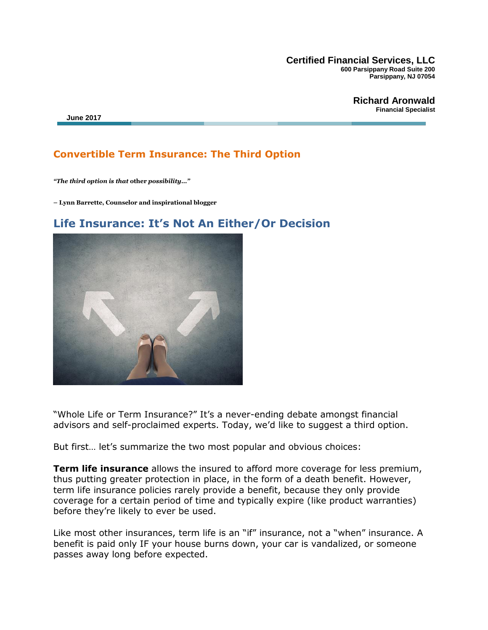**Certified Financial Services, LLC 600 Parsippany Road Suite 200 Parsippany, NJ 07054**

**Richard Aronwald Financial Specialist**

## **Convertible Term Insurance: The Third Option**

*"The third option is that* **other** *possibility…"*

**– Lynn Barrette, Counselor and inspirational blogger**

## **Life Insurance: It's Not An Either/Or Decision**

"Whole Life or Term Insurance?" It's a never-ending debate amongst financial advisors and self-proclaimed experts. Today, we'd like to suggest a third option.

But first… let's summarize the two most popular and obvious choices:

**Term life insurance** allows the insured to afford more coverage for less premium, thus putting greater protection in place, in the form of a death benefit. However, term life insurance policies rarely provide a benefit, because they only provide coverage for a certain period of time and typically expire (like product warranties) before they're likely to ever be used.

Like most other insurances, term life is an "if" insurance, not a "when" insurance. A benefit is paid only IF your house burns down, your car is vandalized, or someone passes away long before expected.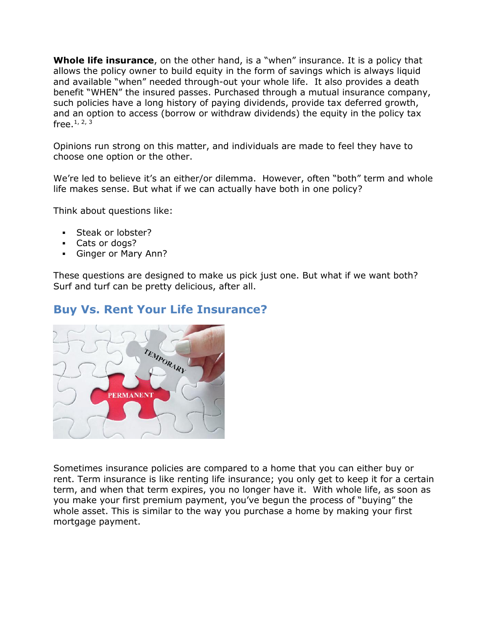**Whole life insurance**, on the other hand, is a "when" insurance. It is a policy that allows the policy owner to build equity in the form of savings which is always liquid and available "when" needed through-out your whole life. It also provides a death benefit "WHEN" the insured passes. Purchased through a mutual insurance company, such policies have a long history of paying dividends, provide tax deferred growth, and an option to access (borrow or withdraw dividends) the equity in the policy tax free.<sup>1, 2, 3</sup>

Opinions run strong on this matter, and individuals are made to feel they have to choose one option or the other.

We're led to believe it's an either/or dilemma. However, often "both" term and whole life makes sense. But what if we can actually have both in one policy?

Think about questions like:

- **Steak or lobster?**
- Cats or dogs?
- Ginger or Mary Ann?

These questions are designed to make us pick just one. But what if we want both? Surf and turf can be pretty delicious, after all.

# **Buy Vs. Rent Your Life Insurance?**



Sometimes insurance policies are compared to a home that you can either buy or rent. Term insurance is like renting life insurance; you only get to keep it for a certain term, and when that term expires, you no longer have it. With whole life, as soon as you make your first premium payment, you've begun the process of "buying" the whole asset. This is similar to the way you purchase a home by making your first mortgage payment.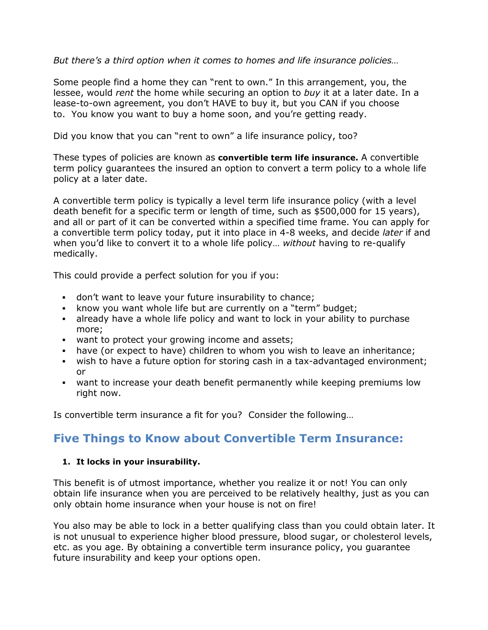*But there's a third option when it comes to homes and life insurance policies…*

Some people find a home they can "rent to own." In this arrangement, you, the lessee, would *rent* the home while securing an option to *buy* it at a later date. In a lease-to-own agreement, you don't HAVE to buy it, but you CAN if you choose to. You know you want to buy a home soon, and you're getting ready.

Did you know that you can "rent to own" a life insurance policy, too?

These types of policies are known as **convertible term life insurance.** A convertible term policy guarantees the insured an option to convert a term policy to a whole life policy at a later date.

A convertible term policy is typically a level term life insurance policy (with a level death benefit for a specific term or length of time, such as \$500,000 for 15 years), and all or part of it can be converted within a specified time frame. You can apply for a convertible term policy today, put it into place in 4-8 weeks, and decide *later* if and when you'd like to convert it to a whole life policy… *without* having to re-qualify medically.

This could provide a perfect solution for you if you:

- don't want to leave your future insurability to chance;
- know you want whole life but are currently on a "term" budget;
- already have a whole life policy and want to lock in your ability to purchase more;
- want to protect your growing income and assets;
- have (or expect to have) children to whom you wish to leave an inheritance;
- wish to have a future option for storing cash in a tax-advantaged environment; or
- want to increase your death benefit permanently while keeping premiums low right now.

Is convertible term insurance a fit for you? Consider the following…

# **Five Things to Know about Convertible Term Insurance:**

## **1. It locks in your insurability.**

This benefit is of utmost importance, whether you realize it or not! You can only obtain life insurance when you are perceived to be relatively healthy, just as you can only obtain home insurance when your house is not on fire!

You also may be able to lock in a better qualifying class than you could obtain later. It is not unusual to experience higher blood pressure, blood sugar, or cholesterol levels, etc. as you age. By obtaining a convertible term insurance policy, you guarantee future insurability and keep your options open.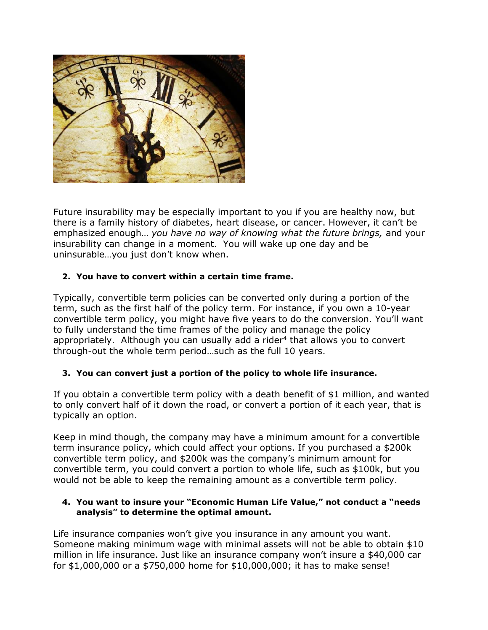

Future insurability may be especially important to you if you are healthy now, but there is a family history of diabetes, heart disease, or cancer. However, it can't be emphasized enough… *you have no way of knowing what the future brings,* and your insurability can change in a moment. You will wake up one day and be uninsurable…you just don't know when.

## **2. You have to convert within a certain time frame.**

Typically, convertible term policies can be converted only during a portion of the term, such as the first half of the policy term. For instance, if you own a 10-year convertible term policy, you might have five years to do the conversion. You'll want to fully understand the time frames of the policy and manage the policy appropriately. Although you can usually add a rider<sup>4</sup> that allows you to convert through-out the whole term period…such as the full 10 years.

## **3. You can convert just a portion of the policy to whole life insurance.**

If you obtain a convertible term policy with a death benefit of \$1 million, and wanted to only convert half of it down the road, or convert a portion of it each year, that is typically an option.

Keep in mind though, the company may have a minimum amount for a convertible term insurance policy, which could affect your options. If you purchased a \$200k convertible term policy, and \$200k was the company's minimum amount for convertible term, you could convert a portion to whole life, such as \$100k, but you would not be able to keep the remaining amount as a convertible term policy.

#### **4. You want to insure your "Economic Human Life Value," not conduct a "needs analysis" to determine the optimal amount.**

Life insurance companies won't give you insurance in any amount you want. Someone making minimum wage with minimal assets will not be able to obtain \$10 million in life insurance. Just like an insurance company won't insure a \$40,000 car for \$1,000,000 or a \$750,000 home for \$10,000,000; it has to make sense!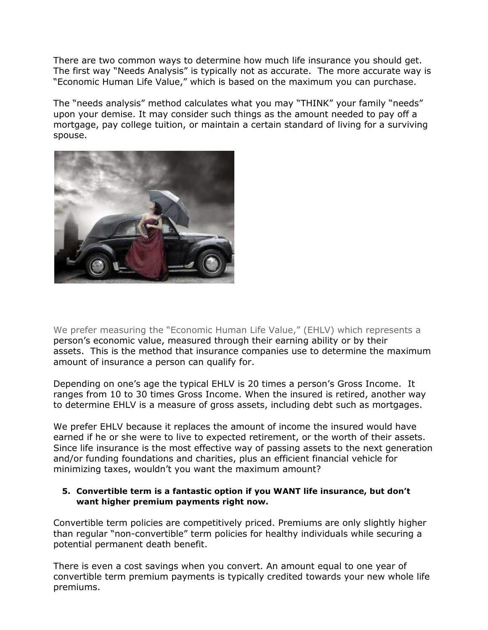There are two common ways to determine how much life insurance you should get. The first way "Needs Analysis" is typically not as accurate. The more accurate way is "Economic Human Life Value," which is based on the maximum you can purchase.

The "needs analysis" method calculates what you may "THINK" your family "needs" upon your demise. It may consider such things as the amount needed to pay off a mortgage, pay college tuition, or maintain a certain standard of living for a surviving spouse.



We prefer measuring the "Economic Human Life Value," (EHLV) which represents a person's economic value, measured through their earning ability or by their assets. This is the method that insurance companies use to determine the maximum amount of insurance a person can qualify for.

Depending on one's age the typical EHLV is 20 times a person's Gross Income. It ranges from 10 to 30 times Gross Income. When the insured is retired, another way to determine EHLV is a measure of gross assets, including debt such as mortgages.

We prefer EHLV because it replaces the amount of income the insured would have earned if he or she were to live to expected retirement, or the worth of their assets. Since life insurance is the most effective way of passing assets to the next generation and/or funding foundations and charities, plus an efficient financial vehicle for minimizing taxes, wouldn't you want the maximum amount?

#### **5. Convertible term is a fantastic option if you WANT life insurance, but don't want higher premium payments right now.**

Convertible term policies are competitively priced. Premiums are only slightly higher than regular "non-convertible" term policies for healthy individuals while securing a potential permanent death benefit.

There is even a cost savings when you convert. An amount equal to one year of convertible term premium payments is typically credited towards your new whole life premiums.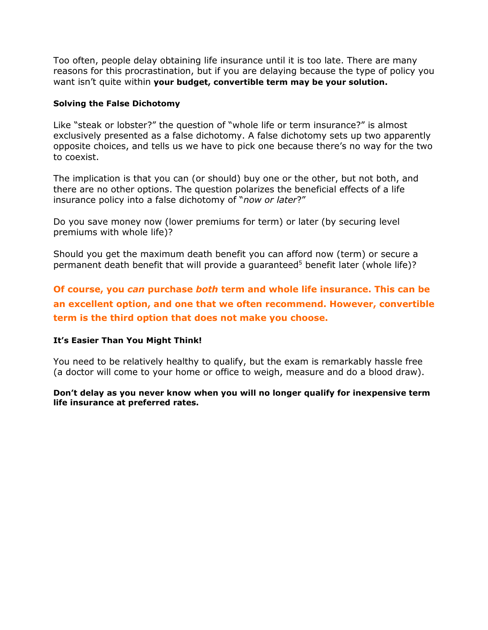Too often, people delay obtaining life insurance until it is too late. There are many reasons for this procrastination, but if you are delaying because the type of policy you want isn't quite within **your budget, convertible term may be your solution.**

#### **Solving the False Dichotomy**

Like "steak or lobster?" the question of "whole life or term insurance?" is almost exclusively presented as a false dichotomy. A false dichotomy sets up two apparently opposite choices, and tells us we have to pick one because there's no way for the two to coexist.

The implication is that you can (or should) buy one or the other, but not both, and there are no other options. The question polarizes the beneficial effects of a life insurance policy into a false dichotomy of "*now or later*?"

Do you save money now (lower premiums for term) or later (by securing level premiums with whole life)?

Should you get the maximum death benefit you can afford now (term) or secure a permanent death benefit that will provide a quaranteed<sup>5</sup> benefit later (whole life)?

**Of course, you** *can* **purchase** *both* **term and whole life insurance. This can be an excellent option, and one that we often recommend. However, convertible term is the third option that does not make you choose.**

#### **It's Easier Than You Might Think!**

You need to be relatively healthy to qualify, but the exam is remarkably hassle free (a doctor will come to your home or office to weigh, measure and do a blood draw).

**Don't delay as you never know when you will no longer qualify for inexpensive term life insurance at preferred rates.**